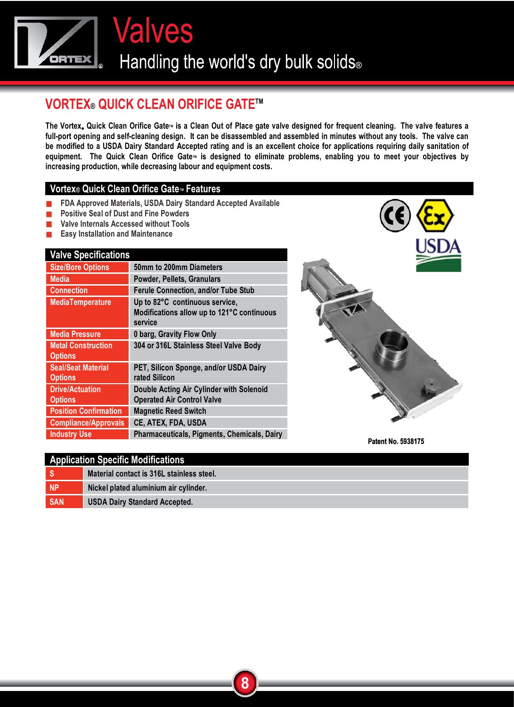**Valves** Handling the world's dry bulk solids®

## **VORTEX® QUICK CLEAN ORIFICE GATE™**

The Vortex<sub>®</sub> Quick Clean Orifice Gate<sup>™</sup> is a Clean Out of Place gate valve designed for frequent cleaning. The valve features a **full-port opening and self-cleaning design. It can be disassembled and assembled in minutes without any tools. The valve can be modified to a USDA Dairy Standard Accepted rating and is an excellent choice for applications requiring daily sanitation of**  equipment. The Quick Clean Orifice Gate<sub>M</sub> is designed to eliminate problems, enabling you to meet your objectives by **increasing production, while decreasing labour and equipment costs.** 

## **Vortex® Quick Clean Orifice Gate<sup>™</sup> Features**

- **FDA Approved Materials, USDA Dairy Standard Accepted Available**
- **EXECUTE: Positive Seal of Dust and Fine Powders**
- **Now Valve Internals Accessed without Tools**
- **Easy Installation and Maintenance**

## **Valve Specifications**

| <u>rano opovinoanono</u>                    |                                                                                         |
|---------------------------------------------|-----------------------------------------------------------------------------------------|
| <b>Size/Bore Options</b>                    | 50mm to 200mm Diameters                                                                 |
| <b>Media</b>                                | Powder, Pellets, Granulars                                                              |
| <b>Connection</b>                           | <b>Ferule Connection, and/or Tube Stub</b>                                              |
| <b>MediaTemperature</b>                     | Up to 82°C continuous service,<br>Modifications allow up to 121°C continuous<br>service |
| <b>Media Pressure</b>                       | 0 barg, Gravity Flow Only                                                               |
| <b>Metal Construction</b><br><b>Options</b> | 304 or 316L Stainless Steel Valve Body                                                  |
| <b>Seal/Seat Material</b><br><b>Options</b> | PET, Silicon Sponge, and/or USDA Dairy<br>rated Silicon                                 |
| <b>Drive/Actuation</b><br><b>Options</b>    | Double Acting Air Cylinder with Solenoid<br><b>Operated Air Control Valve</b>           |
| <b>Position Confirmation</b>                | <b>Magnetic Reed Switch</b>                                                             |
| <b>Compliance/Approvals</b>                 | CE, ATEX, FDA, USDA                                                                     |
| <b>Industry Use</b>                         | Pharmaceuticals, Pigments, Chemicals, Dairy                                             |



**Patent No. 5938175** 

| <b>Application Specific Modifications</b> |                                           |  |  |  |  |
|-------------------------------------------|-------------------------------------------|--|--|--|--|
| ۱s                                        | Material contact is 316L stainless steel. |  |  |  |  |
| NP                                        | Nickel plated aluminium air cylinder.     |  |  |  |  |
| <b>SAN</b>                                | <b>USDA Dairy Standard Accepted.</b>      |  |  |  |  |